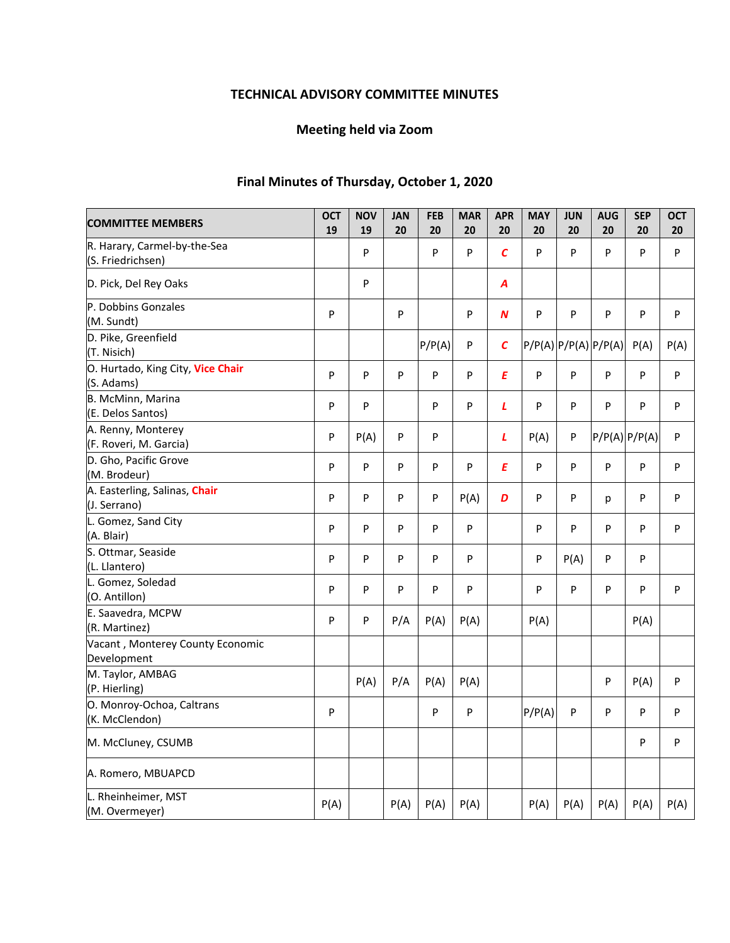# **TECHNICAL ADVISORY COMMITTEE MINUTES**

# **Meeting held via Zoom**

# **Final Minutes of Thursday, October 1, 2020**

| <b>COMMITTEE MEMBERS</b>                          | <b>OCT</b><br>19 | <b>NOV</b><br>19 | <b>JAN</b><br>20 | <b>FEB</b><br>20 | <b>MAR</b><br>20 | <b>APR</b><br>20 | <b>MAY</b><br>20     | <b>JUN</b><br>20 | <b>AUG</b><br>20 | <b>SEP</b><br>20 | <b>OCT</b><br>20 |
|---------------------------------------------------|------------------|------------------|------------------|------------------|------------------|------------------|----------------------|------------------|------------------|------------------|------------------|
| R. Harary, Carmel-by-the-Sea<br>(S. Friedrichsen) |                  | P                |                  | P                | P                | $\mathcal{C}$    | P                    | P                | P                | P                | P                |
| D. Pick, Del Rey Oaks                             |                  | P                |                  |                  |                  | A                |                      |                  |                  |                  |                  |
| P. Dobbins Gonzales<br>(M. Sundt)                 | P                |                  | P                |                  | P                | N                | P                    | P                | P                | P                | P                |
| D. Pike, Greenfield<br>(T. Nisich)                |                  |                  |                  | P/P(A)           | P                | C                | P/P(A) P/P(A) P/P(A) |                  |                  | P(A)             | P(A)             |
| O. Hurtado, King City, Vice Chair<br>(S. Adams)   | P                | P                | P                | P                | P                | E                | $\sf P$              | P                | P                | P                | P                |
| B. McMinn, Marina<br>(E. Delos Santos)            | P                | P                |                  | P                | P                | L                | P                    | P                | P                | P                | P                |
| A. Renny, Monterey<br>(F. Roveri, M. Garcia)      | P                | P(A)             | P                | P                |                  | L                | P(A)                 | P                |                  | P/P(A) P/P(A)    | P                |
| D. Gho, Pacific Grove<br>(M. Brodeur)             | P                | P                | P                | P                | P                | E                | P                    | P                | P                | P                | P                |
| A. Easterling, Salinas, Chair<br>(J. Serrano)     | P                | P                | P                | P                | P(A)             | D                | P                    | P                | p                | P                | P                |
| L. Gomez, Sand City<br>(A. Blair)                 | P                | P                | P                | P                | P                |                  | P                    | P                | P                | P                | P                |
| S. Ottmar, Seaside<br>(L. Llantero)               | P                | P                | P                | P                | P                |                  | P                    | P(A)             | P                | P                |                  |
| L. Gomez, Soledad<br>(O. Antillon)                | P                | P                | P                | P                | P                |                  | P                    | P                | P                | P                | P                |
| E. Saavedra, MCPW<br>(R. Martinez)                | P                | P                | P/A              | P(A)             | P(A)             |                  | P(A)                 |                  |                  | P(A)             |                  |
| Vacant, Monterey County Economic<br>Development   |                  |                  |                  |                  |                  |                  |                      |                  |                  |                  |                  |
| M. Taylor, AMBAG<br>(P. Hierling)                 |                  | P(A)             | P/A              | P(A)             | P(A)             |                  |                      |                  | P                | P(A)             | P                |
| O. Monroy-Ochoa, Caltrans<br>(K. McClendon)       | P                |                  |                  | P                | P                |                  | P/P(A)               | P                | P                | P                | P                |
| M. McCluney, CSUMB                                |                  |                  |                  |                  |                  |                  |                      |                  |                  | P                | P                |
| A. Romero, MBUAPCD                                |                  |                  |                  |                  |                  |                  |                      |                  |                  |                  |                  |
| L. Rheinheimer, MST<br>(M. Overmeyer)             | P(A)             |                  | P(A)             | P(A)             | P(A)             |                  | P(A)                 | P(A)             | P(A)             | P(A)             | P(A)             |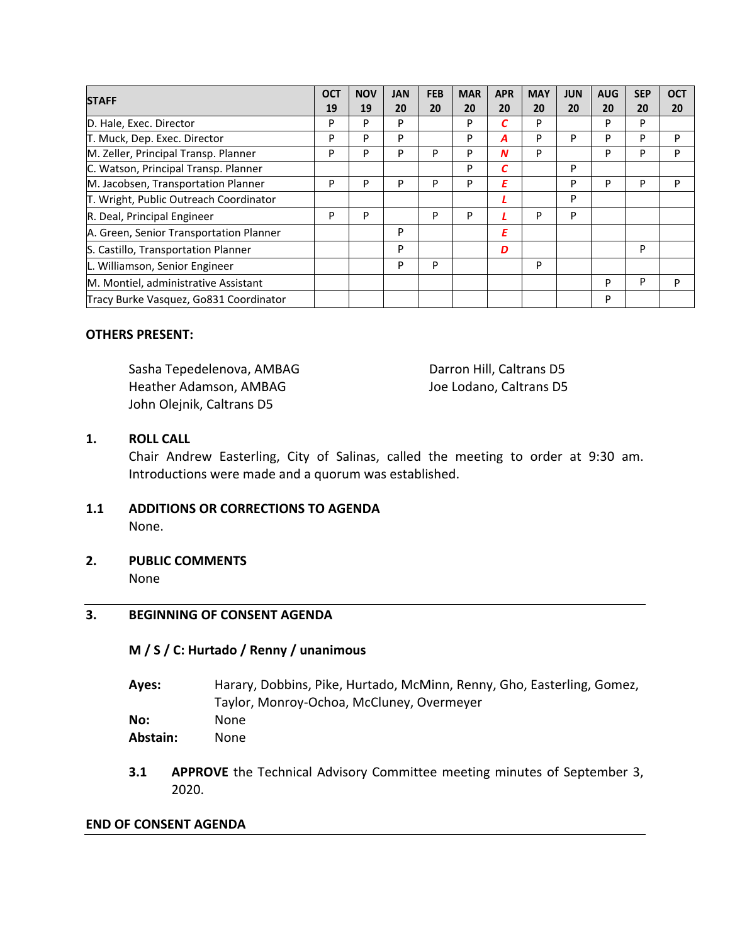| <b>STAFF</b>                            | <b>OCT</b> | <b>NOV</b> | <b>JAN</b> | <b>FEB</b> | <b>MAR</b> | <b>APR</b> | <b>MAY</b> | <b>JUN</b> | <b>AUG</b> | <b>SEP</b> | <b>OCT</b> |
|-----------------------------------------|------------|------------|------------|------------|------------|------------|------------|------------|------------|------------|------------|
|                                         | 19         | 19         | 20         | 20         | 20         | 20         | 20         | 20         | 20         | 20         | 20         |
| D. Hale, Exec. Director                 | P          | P          | P          |            | P          |            | P          |            | P          | P          |            |
| T. Muck, Dep. Exec. Director            | P          | P          | P          |            | P          | А          | P          | P          | P          | P          | P          |
| M. Zeller, Principal Transp. Planner    | P          | P          | P          | P          | P          | N          | P          |            | P          | P          | P          |
| C. Watson, Principal Transp. Planner    |            |            |            |            | P          | С          |            | P          |            |            |            |
| M. Jacobsen, Transportation Planner     | P          | P          | P          | р          | P          | E          |            | P          | P          | P          | P          |
| T. Wright, Public Outreach Coordinator  |            |            |            |            |            |            |            | P          |            |            |            |
| R. Deal, Principal Engineer             | P          | P          |            | P          | P          |            | P          | P          |            |            |            |
| A. Green, Senior Transportation Planner |            |            | P          |            |            | Ε          |            |            |            |            |            |
| S. Castillo, Transportation Planner     |            |            | P          |            |            | D          |            |            |            | P          |            |
| L. Williamson, Senior Engineer          |            |            | P          | P          |            |            | P          |            |            |            |            |
| M. Montiel, administrative Assistant    |            |            |            |            |            |            |            |            | P          | P          | P          |
| Tracy Burke Vasquez, Go831 Coordinator  |            |            |            |            |            |            |            |            | P          |            |            |

#### **OTHERS PRESENT:**

Sasha Tepedelenova, AMBAG Darron Hill, Caltrans D5 Heather Adamson, AMBAG Joe Lodano, Caltrans D5 John Olejnik, Caltrans D5

## **1. ROLL CALL**

Chair Andrew Easterling, City of Salinas, called the meeting to order at 9:30 am. Introductions were made and a quorum was established.

- **1.1 ADDITIONS OR CORRECTIONS TO AGENDA**  None.
- **2. PUBLIC COMMENTS**

None

# **3. BEGINNING OF CONSENT AGENDA**

### **M / S / C: Hurtado / Renny / unanimous**

**Ayes:**  Harary, Dobbins, Pike, Hurtado, McMinn, Renny, Gho, Easterling, Gomez, Taylor, Monroy‐Ochoa, McCluney, Overmeyer

**No:** None **Abstain:** None

**3.1 APPROVE** the Technical Advisory Committee meeting minutes of September 3, 2020.

#### **END OF CONSENT AGENDA**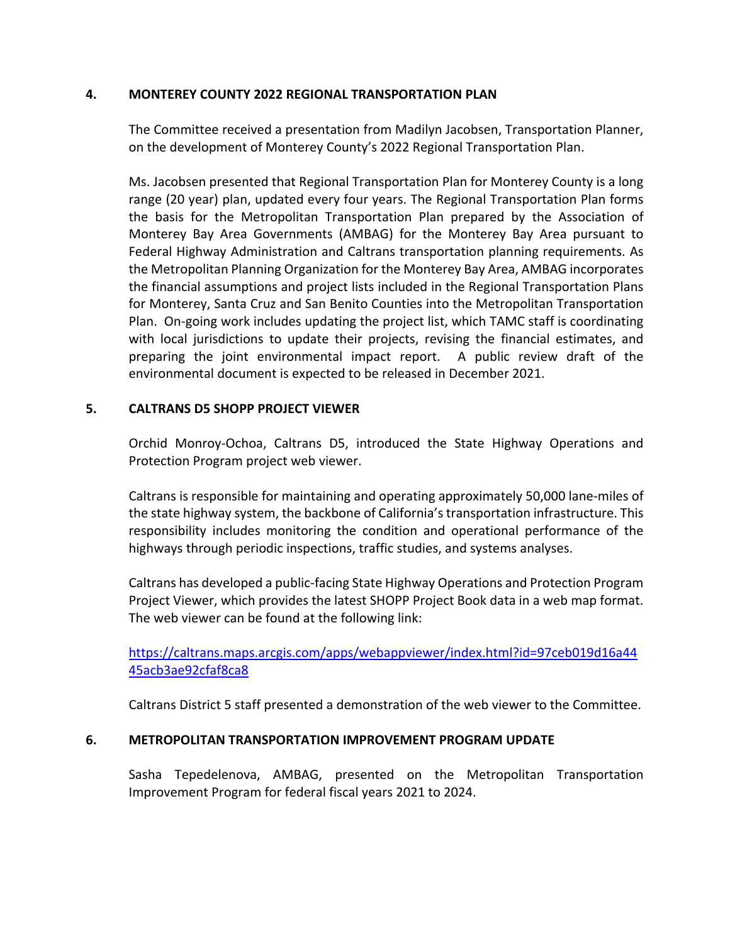### **4. MONTEREY COUNTY 2022 REGIONAL TRANSPORTATION PLAN**

The Committee received a presentation from Madilyn Jacobsen, Transportation Planner, on the development of Monterey County's 2022 Regional Transportation Plan.

Ms. Jacobsen presented that Regional Transportation Plan for Monterey County is a long range (20 year) plan, updated every four years. The Regional Transportation Plan forms the basis for the Metropolitan Transportation Plan prepared by the Association of Monterey Bay Area Governments (AMBAG) for the Monterey Bay Area pursuant to Federal Highway Administration and Caltrans transportation planning requirements. As the Metropolitan Planning Organization for the Monterey Bay Area, AMBAG incorporates the financial assumptions and project lists included in the Regional Transportation Plans for Monterey, Santa Cruz and San Benito Counties into the Metropolitan Transportation Plan. On‐going work includes updating the project list, which TAMC staff is coordinating with local jurisdictions to update their projects, revising the financial estimates, and preparing the joint environmental impact report. A public review draft of the environmental document is expected to be released in December 2021.

# **5. CALTRANS D5 SHOPP PROJECT VIEWER**

Orchid Monroy‐Ochoa, Caltrans D5, introduced the State Highway Operations and Protection Program project web viewer.

Caltrans is responsible for maintaining and operating approximately 50,000 lane‐miles of the state highway system, the backbone of California's transportation infrastructure. This responsibility includes monitoring the condition and operational performance of the highways through periodic inspections, traffic studies, and systems analyses.

Caltrans has developed a public‐facing State Highway Operations and Protection Program Project Viewer, which provides the latest SHOPP Project Book data in a web map format. The web viewer can be found at the following link:

https://caltrans.maps.arcgis.com/apps/webappviewer/index.html?id=97ceb019d16a44 45acb3ae92cfaf8ca8

Caltrans District 5 staff presented a demonstration of the web viewer to the Committee.

### **6. METROPOLITAN TRANSPORTATION IMPROVEMENT PROGRAM UPDATE**

Sasha Tepedelenova, AMBAG, presented on the Metropolitan Transportation Improvement Program for federal fiscal years 2021 to 2024.